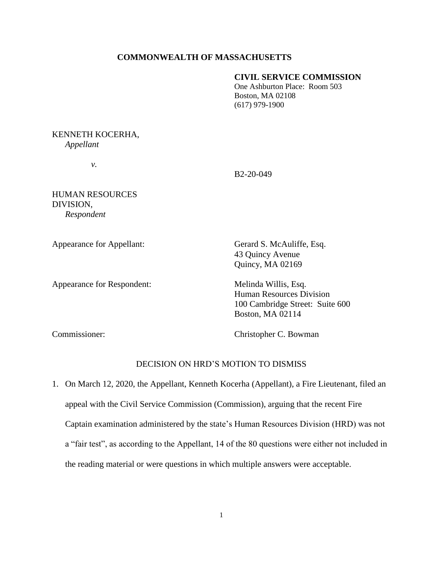### **COMMONWEALTH OF MASSACHUSETTS**

### **CIVIL SERVICE COMMISSION**

One Ashburton Place: Room 503 Boston, MA 02108 (617) 979-1900

## KENNETH KOCERHA, *Appellant*

*v.*

B2-20-049

HUMAN RESOURCES DIVISION, *Respondent* 

Appearance for Respondent: Melinda Willis, Esq.

Appearance for Appellant: Gerard S. McAuliffe, Esq. 43 Quincy Avenue Quincy, MA 02169

> Human Resources Division 100 Cambridge Street: Suite 600 Boston, MA 02114

Commissioner: Christopher C. Bowman

# DECISION ON HRD'S MOTION TO DISMISS

1. On March 12, 2020, the Appellant, Kenneth Kocerha (Appellant), a Fire Lieutenant, filed an appeal with the Civil Service Commission (Commission), arguing that the recent Fire Captain examination administered by the state's Human Resources Division (HRD) was not a "fair test", as according to the Appellant, 14 of the 80 questions were either not included in the reading material or were questions in which multiple answers were acceptable.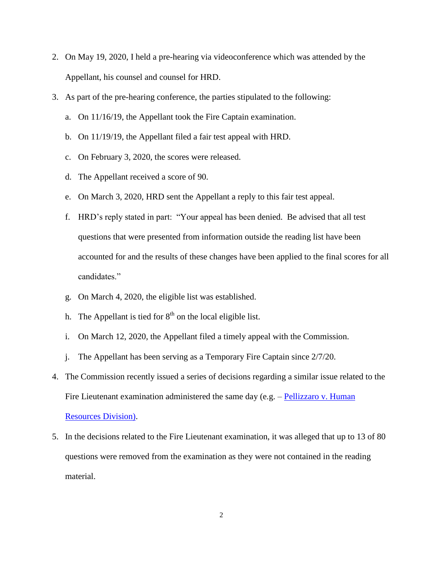- 2. On May 19, 2020, I held a pre-hearing via videoconference which was attended by the Appellant, his counsel and counsel for HRD.
- 3. As part of the pre-hearing conference, the parties stipulated to the following:
	- a. On 11/16/19, the Appellant took the Fire Captain examination.
	- b. On 11/19/19, the Appellant filed a fair test appeal with HRD.
	- c. On February 3, 2020, the scores were released.
	- d. The Appellant received a score of 90.
	- e. On March 3, 2020, HRD sent the Appellant a reply to this fair test appeal.
	- f. HRD's reply stated in part: "Your appeal has been denied. Be advised that all test questions that were presented from information outside the reading list have been accounted for and the results of these changes have been applied to the final scores for all candidates."
	- g. On March 4, 2020, the eligible list was established.
	- h. The Appellant is tied for  $8<sup>th</sup>$  on the local eligible list.
	- i. On March 12, 2020, the Appellant filed a timely appeal with the Commission.
	- j. The Appellant has been serving as a Temporary Fire Captain since 2/7/20.
- 4. The Commission recently issued a series of decisions regarding a similar issue related to the Fire Lieutenant examination administered the same day (e.g. – Pellizzaro v. Human [Resources](https://www.mass.gov/doc/pellizzaro-michael-v-human-resources-division-42320/download) Division).
- 5. In the decisions related to the Fire Lieutenant examination, it was alleged that up to 13 of 80 questions were removed from the examination as they were not contained in the reading material.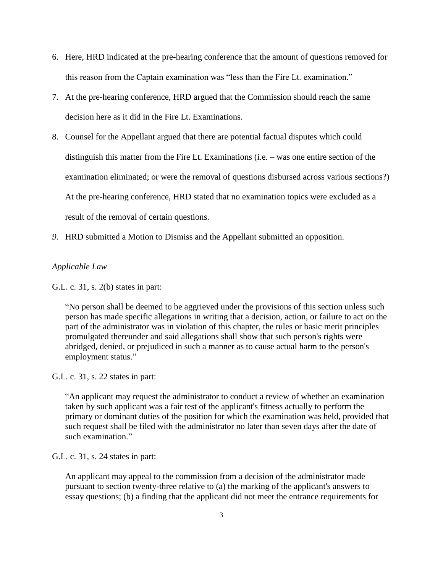- 6. Here, HRD indicated at the pre-hearing conference that the amount of questions removed for this reason from the Captain examination was "less than the Fire Lt. examination."
- 7. At the pre-hearing conference, HRD argued that the Commission should reach the same decision here as it did in the Fire Lt. Examinations.
- 8. Counsel for the Appellant argued that there are potential factual disputes which could distinguish this matter from the Fire Lt. Examinations (i.e. – was one entire section of the examination eliminated; or were the removal of questions disbursed across various sections?) At the pre-hearing conference, HRD stated that no examination topics were excluded as a result of the removal of certain questions.
- *9.* HRD submitted a Motion to Dismiss and the Appellant submitted an opposition.

## *Applicable Law*

G.L. c. 31, s. 2(b) states in part:

"No person shall be deemed to be aggrieved under the provisions of this section unless such person has made specific allegations in writing that a decision, action, or failure to act on the part of the administrator was in violation of this chapter, the rules or basic merit principles promulgated thereunder and said allegations shall show that such person's rights were abridged, denied, or prejudiced in such a manner as to cause actual harm to the person's employment status."

### G.L. c. 31, s. 22 states in part:

"An applicant may request the administrator to conduct a review of whether an examination taken by such applicant was a fair test of the applicant's fitness actually to perform the primary or dominant duties of the position for which the examination was held, provided that such request shall be filed with the administrator no later than seven days after the date of such examination."

G.L. c. 31, s. 24 states in part:

An applicant may appeal to the commission from a decision of the administrator made pursuant to section twenty-three relative to (a) the marking of the applicant's answers to essay questions; (b) a finding that the applicant did not meet the entrance requirements for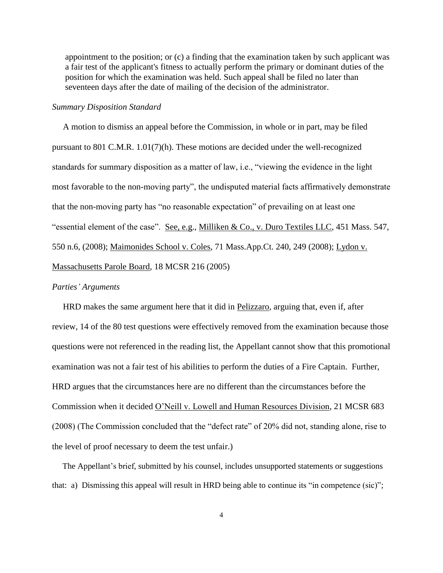appointment to the position; or (c) a finding that the examination taken by such applicant was a fair test of the applicant's fitness to actually perform the primary or dominant duties of the position for which the examination was held. Such appeal shall be filed no later than seventeen days after the date of mailing of the decision of the administrator.

#### *Summary Disposition Standard*

 A motion to dismiss an appeal before the Commission, in whole or in part, may be filed pursuant to 801 C.M.R. 1.01(7)(h). These motions are decided under the well-recognized standards for summary disposition as a matter of law, i.e., "viewing the evidence in the light most favorable to the non-moving party", the undisputed material facts affirmatively demonstrate that the non-moving party has "no reasonable expectation" of prevailing on at least one "essential element of the case". See, e.g., Milliken & Co., v. Duro Textiles LLC, 451 Mass. 547, 550 n.6, (2008); Maimonides School v. Coles, 71 Mass.App.Ct. 240, 249 (2008); Lydon v. Massachusetts Parole Board, 18 MCSR 216 (2005)

#### *Parties' Arguments*

 HRD makes the same argument here that it did in Pelizzaro, arguing that, even if, after review, 14 of the 80 test questions were effectively removed from the examination because those questions were not referenced in the reading list, the Appellant cannot show that this promotional examination was not a fair test of his abilities to perform the duties of a Fire Captain. Further, HRD argues that the circumstances here are no different than the circumstances before the Commission when it decided O'Neill v. Lowell and Human Resources Division, 21 MCSR 683 (2008) (The Commission concluded that the "defect rate" of 20% did not, standing alone, rise to the level of proof necessary to deem the test unfair.)

 The Appellant's brief, submitted by his counsel, includes unsupported statements or suggestions that: a) Dismissing this appeal will result in HRD being able to continue its "in competence (sic)";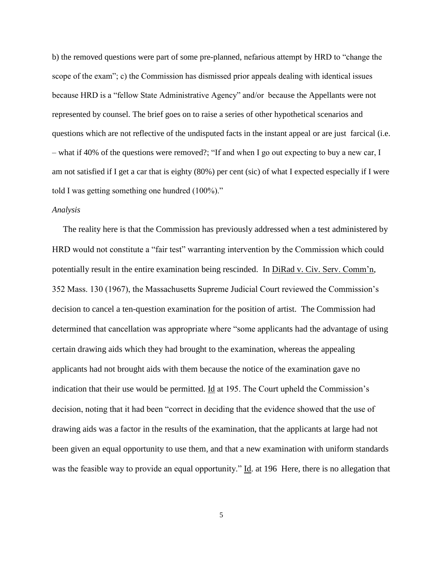b) the removed questions were part of some pre-planned, nefarious attempt by HRD to "change the scope of the exam"; c) the Commission has dismissed prior appeals dealing with identical issues because HRD is a "fellow State Administrative Agency" and/or because the Appellants were not represented by counsel. The brief goes on to raise a series of other hypothetical scenarios and questions which are not reflective of the undisputed facts in the instant appeal or are just farcical (i.e. – what if 40% of the questions were removed?; "If and when I go out expecting to buy a new car, I am not satisfied if I get a car that is eighty (80%) per cent (sic) of what I expected especially if I were told I was getting something one hundred (100%)."

#### *Analysis*

 The reality here is that the Commission has previously addressed when a test administered by HRD would not constitute a "fair test" warranting intervention by the Commission which could potentially result in the entire examination being rescinded. In DiRad v. Civ. Serv. Comm'n, 352 Mass. 130 (1967), the Massachusetts Supreme Judicial Court reviewed the Commission's decision to cancel a ten-question examination for the position of artist. The Commission had determined that cancellation was appropriate where "some applicants had the advantage of using certain drawing aids which they had brought to the examination, whereas the appealing applicants had not brought aids with them because the notice of the examination gave no indication that their use would be permitted. Id at 195. The Court upheld the Commission's decision, noting that it had been "correct in deciding that the evidence showed that the use of drawing aids was a factor in the results of the examination, that the applicants at large had not been given an equal opportunity to use them, and that a new examination with uniform standards was the feasible way to provide an equal opportunity." Id. at 196 Here, there is no allegation that

5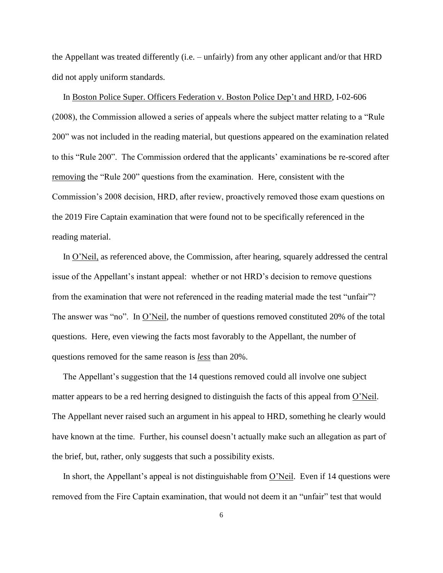the Appellant was treated differently (i.e. – unfairly) from any other applicant and/or that HRD did not apply uniform standards.

 In Boston Police Super. Officers Federation v. Boston Police Dep't and HRD, I-02-606 (2008), the Commission allowed a series of appeals where the subject matter relating to a "Rule 200" was not included in the reading material, but questions appeared on the examination related to this "Rule 200". The Commission ordered that the applicants' examinations be re-scored after removing the "Rule 200" questions from the examination. Here, consistent with the Commission's 2008 decision, HRD, after review, proactively removed those exam questions on the 2019 Fire Captain examination that were found not to be specifically referenced in the reading material.

 In O'Neil, as referenced above, the Commission, after hearing, squarely addressed the central issue of the Appellant's instant appeal: whether or not HRD's decision to remove questions from the examination that were not referenced in the reading material made the test "unfair"? The answer was "no". In O'Neil, the number of questions removed constituted 20% of the total questions. Here, even viewing the facts most favorably to the Appellant, the number of questions removed for the same reason is *less* than 20%.

 The Appellant's suggestion that the 14 questions removed could all involve one subject matter appears to be a red herring designed to distinguish the facts of this appeal from O'Neil. The Appellant never raised such an argument in his appeal to HRD, something he clearly would have known at the time. Further, his counsel doesn't actually make such an allegation as part of the brief, but, rather, only suggests that such a possibility exists.

 In short, the Appellant's appeal is not distinguishable from O'Neil. Even if 14 questions were removed from the Fire Captain examination, that would not deem it an "unfair" test that would